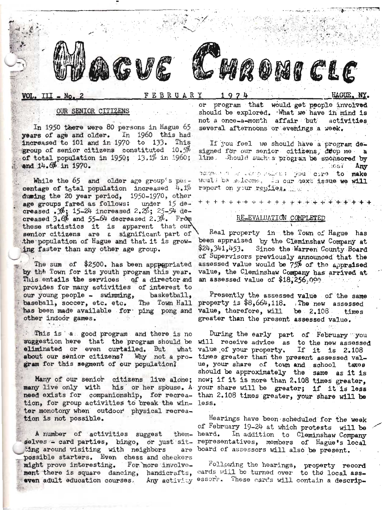



FEBRUARY

 $1974$ 

# OUR SENIOR CITIZENS

In 1950 there were 80 persons in Hague 65 years of age and older. In 1960 this had increased to 101 and in 1970 to 133. This group of senior citizens constituted 10.5% of total population in  $1950$ ;  $13.1%$  in  $1960$ ; and 14.6% in 1970.

While the 65 and older age group's percentage of total population increased  $4.1%$ duming the 20 year period, 1950-1970, other age groups fared as follows: under 15 de-<br>creased  $\mathcal{F}_1$  15-24 increased 2.2%; 25-54 decreased  $3.6\%$  and  $55-64$  decreased 2.3%. From these statistics it is apparent that our senior citizens are a significant part of the population of Hague and that it is growing faster than any other age group.

The sum of \$2500. has been appropriated by the Town for its youth program this year. This entails the services of a director ad provides for many activities of interest to our young people - swimming, basketball, baseball, soccer, etc. etc. The Town Hall has been made available for ping pong and other indoor games.

This is a good program and there is no suggestion here that the program should be eliminated or even curtailed. But what about our senior citizens? Why not a program for this segment of our population?

many live only with need exists for companionship, for recrea- than 2.108 times greater, your share will be tion, for group activities to break the win- less. ter monotony when outdoor physical recreation is not possible.

A number of activities suggest ting around visiting with neighbors possible starters. Even chess and checkers might prove interesting. For more involvement there is square dancing, handicrafts, cards will be turned over to the local asseven adult education courses. Any activity essore. These cards will contain a descrip-

or program that would get people involved should be explored. What we have in mind is not a once-a-month affair but activities several afternoons or evenings a week.

**MQOMICLE** 

If you feel we should have a program designed for our senior citizens, duop me a line. Should such a program be sponsored by  $CGS$ Any rements of the compositions you care to make Would be salcome. In our next issue we will report on your replies.

## RE\_EVALUATION COMPLETED

Real property in the Town of Hague has been appraised by the Cleminshaw Company at  $$24,341,453$ . Since the Warren County Board of Supervisors previously announced that the assessed value would be 75% of the appraised value, the Cleminshaw Company has arrived at an assessed value of \$18,256.000

Presently the assessed value of the same property is \$8,664,118. The new assessed value, therefore, will be 2.108 times greater than the present assessed value.

During the early part of February you will receive advice as to the new assessed value of your property. If it is  $2.108$ times greater than the present assessed value, your share of town and school taxos should be approximately the same as it is Many of our senior citizens live alone; now; if it is more than 2.108 times greater. his or her spouse. A your share will be greater; if it is less

Hearings have been scheduled for the week of February 19-24 at which protests will be them- heard. In addition to Cleminshaw Company selves - card parties, bingo, or just sit- representatives, members of Hague's local are board of assessors will also be present.

Following the hearings, property record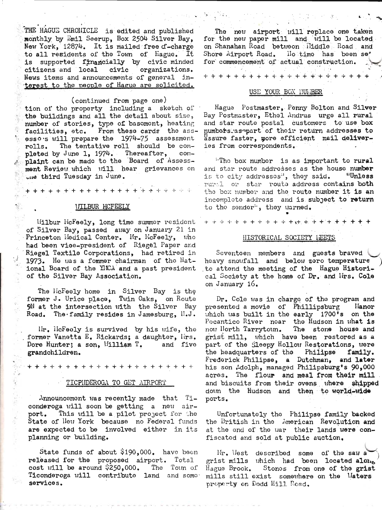THE HAGUE CHRONICLE is edited and published monthly by Emil Seerup. Box 2504 Silver Bay. New York, 12874. It is mailed free d-charge to all residents of the Town of Hague. It is supported financially by civic minded citizens and local civic organizations. News items and announcements of general interest to the people of Hague are solicited.

(continued from page one)

tion of the property including a sketch of the buildings and all the detail about size, number of stories, type of basomont, heating From these cards the assfacilities, etc. esso's will prepare the 1974-75 assessment The tentative roll should be comrolls. pleted by June 1, 1974. Thereafter, complaint can be made to the Board of Assessment Review which will hear grievances on the third Tuesday in June.

**ITLBUR MCFEELY** 

 $\mathcal{E}$  .

Wilbur McFeely, long time summer resident of Silver Bay, passed away on January 21 in Princeton Hedical Center. Mr. HcFeely, who had been vice-president of Riegel Paper and Riegel Textile Corporations, had retired in 1973. He was a former chairman of the National Board of the YICA and a past president of the Silver Bay Association.

The MicFeely home in Silver Bay is the former J. Urice place, Twin Oaks, on Route 9N at the intersection with the Silver Bay Road. The family resides in Jamesburg,  $H_{\bullet}J_{\bullet}$ 

lir. licFeely is survived by his wife, the former Vanetta E. Rickards; a daughter, lirs. Dore Hunter; a son, William T. and five grandchildren.

### TICPHDEROGA TO GET AIRPORT

Announcement was recently made that Ticonderoga will soon be getting a new air-This will be a pilot project for the port. State of New York because no Federal funds are expected to be involved either in its planning or building.

State funds of about  $$190,000$ . have been released for the proposed airport. Total cost will be around \$250,000. The Town of Ticonderoga will contribute land and some services.

The new airport will replace one taken for the new paper mill and will be located on Shanahan Road between Hiddle Road and Shore Airport Road. Ilo timo has been se' for commencement of actual construction.

+ + + + + + + + + + + + + + + +

## USE YOUR BOX HUMBER

Hague Postmaster, Penny Bolton and Silver Bay Postmaster, Ethel Andrus urge all rural and star route postal customers to use box numbors as part of their return addresses to assure faster, more efficient mail deliveries from correspondents.

"The box number is as important to rural and star route addresses as the house number is to city addressos", they said. "Unless rural or star route address contains both the box number and the route number it is an incomplete address and is subject to return to the sender", they uarned.

### HISTORICAL SOCIETY LEETS

Seventeen members and guests braved heavy snowfall and below zero temperature to attend the meeting of the Hague Historical Society at the home of Dr. and lirs. Cole on January 16.

Dr. Cole was in charge of the program and presented a movie of Phillipsburg Hanor which was built in the early 1700's on the Pocantico River noar the Hudson in what is The stone house and now Horth Tarrytown. grist mill, which have been restored as a part of the Sleepy Hollow Restorations, were the headquarters of the Philipse family. Frederick Philipse, a Dutchman, and later his son Adolph, managed Philipsburg's 90,000 acres. The flour and meal from their mill and biscuits from their ovens where shipped down the Hudson and then to world-wide ports.

Unfortunately the Philipse family backed the British in the American Revolution and at the end of the war their lands were confiscated and sold at public auction.

Hr. West described some of the saw a grist mills which had been located along Hague Brook. Stones from one of the grist mills still exist somewhere on the Waters property on Dodd Hill Road.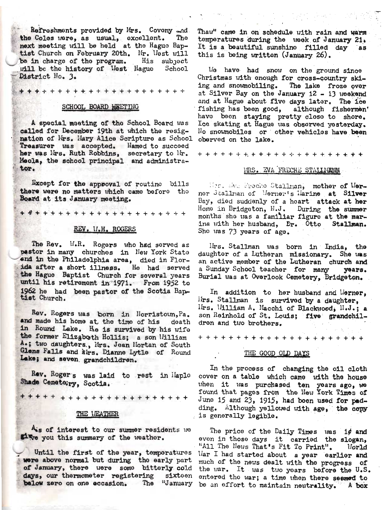Refreshments provided by Mrs. Coveny and the Coles were, as usual, excellent. The next meeting will be held at the Hague Baptist Church on February 20th. Mr. West will be in charge of the program. His subject will be the history of West Hague School District No. 3.

#### SCHOOL BOARD HELTING

A special meeting of the School Board was called for December 19th at which the resignation of Mrs. Mary Alice Scripture as School Treasurer was accepted. Named to succeed her was lirs. Ruth Robbins, secretary to Mr. Meola, the school principal and administrator.

**Except for the approval of routine bills** there were no matters which came before the Board at its January meeting.

### REV. V.H. ROGERS

The Rev. W.R. Rogers who had served as pastor in many churches in New York State and in the Philadelphia area, died in Florida after a short illness. He had served the Hague Baptist Church for several years until his retirement in 1971. From 1952 to 1962 he had been pastor of the Scotia Baptist Church.

Rev. Rogers was born in Horristown, Pa. and made his home at the time of his doath in Round Lake. He is survived by his wife the former Elizaboth Hollis; a son William A.; two daughters., Mrs. Jean Mortan of South Glens Falls and älrs. Dianne Lytle of Round Lake; and seven grandchildren.

Rev. Roger's was laid to rest in Haple Shade Cemetery, Scotia.

### THE VEATHER

Als of interest to our summer residents we Five you this summary of the weather.

Until the first of the year, temperatures were above normal but during the early part of January, there were some bitterly cold days, our thermometer registering sixteen

Thaw" came in on schedule with rain and warm temperatures during the neek of January 21. It is a beautiful sunshine filled day as this is being written (January 26).

We have had snow on the ground since Christmas with enough for cross-country skiing and snowmobiling. The lake froze over at Silver Bay on the January 12 - 13 weekend and at Hague about five days later. The ice fishing has been good, although fishermen' have been staying pretty close to shore. Ice skating at Hague was observed yesterday. No snowmobiles or other vehicles have been oberved on the lake.

## MRS. EVA FRECHE STALLMANN

Mrs. My Preche Stallman, mother of Merner Stallman of Werner's Harine at Silver Bay, died suddenly of a heart attack at her Home in Bridgeton, N.J. During the summer months she was a familiar figure at the marina with her husband. Dr. Otto Stallman. She was 73 years of age.

Irs. Stallman was born in India, the daughter of a Lutheran missionary. She was an active member of the Lutheran church and a Sunday School teacher for many years. Burial was at Overlook Cemetery, Bridgeton.

In addition to her husband and Merner, lirs. Stallman is survived by a daughter, Ilrs. William A. Macchi of Blackwood, H.J.; a son Reinhold of St. Louis; five grandchildren and two brothers.

#### THE GOOD OLD DAYS

In the process of changing the oil cloth cover on a table which came with the house when it was purchased ten years ago, we found that pages from the New York Times of June 15 and 23, 1915, had been used for padding. Although yellowed with age, the copy is generally legible.

The price of the Daily Times was 1¢ and even in those days it carried the slogan, "All The News That's Fit To Print". **Morld** War I had started about a year earlier and much of the news dealt with the progress of the war. It was two years before the U.S. entered the war; a time when there seemed to below zero on one eccasion. The "January be an effort to maintain neutrality. A box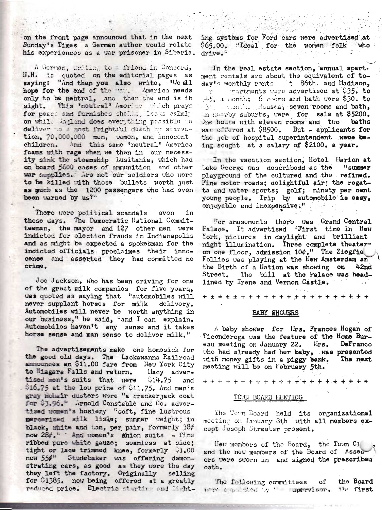on the front page announced that in the next Sunday's Times a German author would relate his experiences as a war prisoner in Siberia.

A Gorman, uriting to a friend in Concord, N.H. is quoted on the editorial pages as saying: "And then you also write, 'We all hope for the end of the "nit. America needs only to be neutral, and then the end is in This 'neutral' America which prays sight. for peach and furnishes shells, Locks calmly on while England does everything possible to deliver to a most frightful death by starvation, 70,000,000 men, women, and innocent children. And this same 'neutral' America foams with rage when we then in our necessity sink the steamship Lusitania, which had on board 5000 cases of ammunition and other war supplies. Are not our soldiers who were to be killed with those bullets worth just as much as the 1200 passengers who had even been warned by us?"

There were political scandals even īn those days. The Democratic National Committeeman, the mayor and 127 other men were indicted for election frauds in Indianapolis and as might be expected a spokesman for the indicted officials proclaimes their innocense and asserted they had committed no crime.

Joe Jackson, who has been driving for one of the great milk companies for five years, was quoted as saying that "automobiles will never supplant horses for milk delivery. Automobiles will never be worth anything in our business," he said, "and I can explain. Automobiles haven't any sense and it takes horse sense and man sense to deliver milk."

The advertisements make one homesick for the good old days. The Lackawanna Railroad announces an \$11.00 fare from New York City to Miagara Falls and return. llacy advertised men's suits that were  $$14.75$ and \$16.75 at the low price of \$11.75. And men's gray mohair dusters were "a cracker jack coat for \$3.96." ..rnold Constable and Co. advertised uomen"s hosiery "soft, fine lustrous mercerized silk lisle; summer weight; in black, white and tan, per pair, formerly 38¢ now 284." And uomen's minion suits - fine ribbed pure white gauze; seamless at side; tight or lace trimmed knee, formerly 01.00 now 55¢<sup>3</sup> Studebaker was offering demonstrating cars, as good as they were the day they left the factory. Originally selling for \$1385. now being offered at a greatly reduced price. Electric starting and light-

ing systems for Ford cars were advertised at \$65.00. Treal for the women folk who drive."

In the real estate section, annual apart. ment rentals are about the equivalent of today's monthly rents at 86th and Madison,  $\mathbb{R}^{n \times n}$ Fractments were advertised at 935. to  $-45.$  a month; 6 rooms and bath were \$30. to 31 mill. Houses, seven rooms and bath, in nearby suburbs, were for sale at \$5200. One house with eleven rooms and two baths was offered at \$8500. But - applicants for the job of hospital superintendent were being sought at a salary of \$2100. a year.

In the vacation section, Hotel Harion at Lake George was describedd as the "summer playground of the cultured and the refined. Fine motor roads; delightful air; the regatta and water sports; golf; ninety per cent young people. Trip by automobile is easy, enjoyable and inexpensive."

For amusements there was Grand Central Palace. It advertised "First time in New York, pictures in daylight and brilliant night illumination. Three complete theateron one floor, admission  $104.$ " The Ziegfie Follies was playing at the New Amsterdam an the Birth of a Nation was showing on  $42<sub>nd</sub>$ The bill at the Palace was head-Street. lined by Irene and Vernon Castle.

### BABY SHOWERS

 $\Lambda$  baby shower for Hrs. Frances Hogan of Ticonderoga was the feature of the Home Bureau meeting on January 22. lirs. DeFranco who had already had her baby, was presented with money gifts in a piggy bank. The next meeting will be on February 5th.

## TOUN BOARD LEETING

The Town Board held its organizational meeting on January Sth with all members except Joseph Streeter present.

Heu members of the Board. the Town Cl and the new members of the Board of Asses ors were sworn in and signed the prescribeu oath.

The following committees оf the Board mer applied by ' upervisor, the first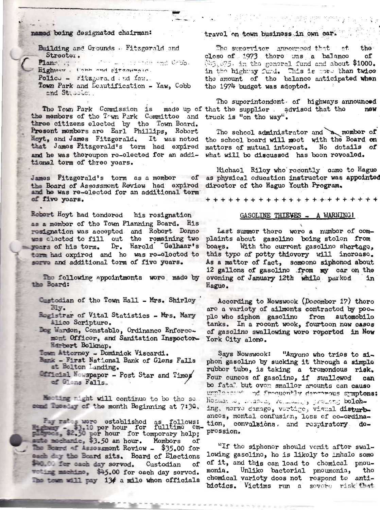## named being designated chairman:

Building and Grounds . Fitzgerald and Streeter. Which was problem and Gobbs Plann. Highway. Cabb and ritzounged. Police - Fitzgora.d and faw. Town Park and Ecautification - Yaw, Cobb and Stabble ..

The Town Park Commission is made up of that the supplier advised that the the members of the Town Park Committee and truck is "on the way". three citizens elected by the Town Board. Present members are Earl Phillips, Robert Hoyt, and James Fitzgerald. It was noted that James Fitzgerald's term had expired and he was thereupon ro-elected for an additional torm of three years.

James Fitzgerald's torm as a momber of the Board of Assessmont Review had expired and he was re-elected for an additional term of five years.

Robert Hoyt had tendered his rosignation as a mombor of the Town Planning Board. His resignation was accepted and Robert Denne<br>was clected to fill out the remaining two wears of his term. Dr. Harold Gelhaar's torm had oxpired and ho was re-elected to sorve and additional term of five years.

The following appointments were made by the Board:

- Custodian of the Town Hall Mrs. Shirley  $31y.$
- Rogistrar of Vital Statistics Mrs. Mary Alico Scripture.
- Dog Warden, Constable, Ordinance Enforcemont Officer, and Sanitation Inspector-Hirbert Bolknap.

Town Attorney - Dominick Viscardi.

- Bank First National Bank of Glens Falls at Bolton Landing.
- Official Newspaper Post Star and Times of Glens Falls.

Meeting might will continue to be the socome Tuesday of the month Beginning at 7:30.

Fay rates were established as follows:<br>53.10 per hour for fulltime employees, \$2.50 per hour for temporary help;  $cm$ auto muchamic, \$3.50 an hour. Mombors of The Bound of Assessment Review - \$35.00 for each day the Board sits. Board of Elections \$40.00 for each day served. Custodian οf woting machine, \$45.00 for each day served. The town will pay 134 a mile when officials

## travel on town business in own car

The supervisor announced that at the close of 1973 there was a balance оf 043.075. in the general fund and about \$1000. in the highway fund. This is more than twice the amount of the balance anticipated when the 1974 budget was adopted.

The superintendent of highways announced new

The school administrator and a momber of the school board will meet with the Board on mattors of mutual intorost. No dotails of what will bo discussed has boon revealed.

Michael Riley who recently came to Hague as physical oducation instructor was appointed director of the Hague Youth Program.

# GASOLINE THIEVES - A WARNING!

Last summor there were a number of complaints about gasolino boing stolon from boags. With the current gasoline shortage, this type of potty thievery will increase. As a mattor of fact, somoone siphonod about 12 gallons of gasolino from my car on the ovening of January 12th while parked in Hague.

According to Nowswook (Docombor 17) there are a variety of ailments contracted by peoplo who siphon gasolino from automobilo tanks. In a rocent wook, fourtoon now cases of gasoline swallowing were reported in New York City alone.

Says Nowswook: "Anyono who tries to siphon gasolino by sucking it through a simple rubbor tube, is taking a tromondous risk. Four ounces of gasoline, if swallowed can bo fatal but over smaller amounts can cause urnlasser' ad frequently dependous symptoms: Hommand, stacke, volutions, present bolching, norve damago, vertige, visual disturbances, montal confusion, loss of co-ordination, convolsions, and respiratory doprossion.

"If the siphonor should vemit aftor swallowing gasolino, ho is likoly to inhalo somo of it, and this can load to chomical pnoumonia. Unliko bactorial pnoumonia, tho chomical varioty doos not rospond to antibiotics. Victims run a sovere risk that